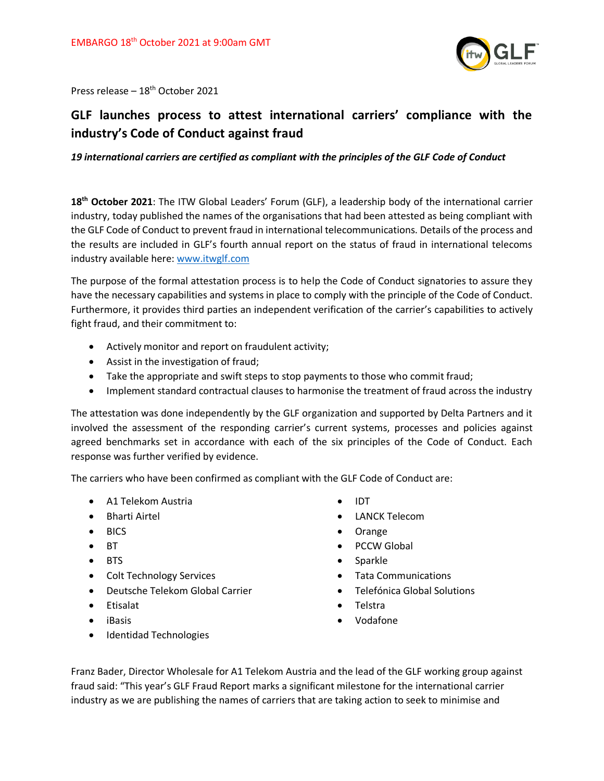

Press release – 18th October 2021

## **GLF launches process to attest international carriers' compliance with the industry's Code of Conduct against fraud**

## *19 international carriers are certified as compliant with the principles of the GLF Code of Conduct*

**18th October 2021**: The ITW Global Leaders' Forum (GLF), a leadership body of the international carrier industry, today published the names of the organisations that had been attested as being compliant with the GLF Code of Conduct to prevent fraud in international telecommunications. Details of the process and the results are included in GLF's fourth annual report on the status of fraud in international telecoms industry available here: [www.itwglf.com](http://www.itwglf.com/)

The purpose of the formal attestation process is to help the Code of Conduct signatories to assure they have the necessary capabilities and systems in place to comply with the principle of the Code of Conduct. Furthermore, it provides third parties an independent verification of the carrier's capabilities to actively fight fraud, and their commitment to:

- Actively monitor and report on fraudulent activity;
- Assist in the investigation of fraud;
- Take the appropriate and swift steps to stop payments to those who commit fraud;
- Implement standard contractual clauses to harmonise the treatment of fraud across the industry

The attestation was done independently by the GLF organization and supported by Delta Partners and it involved the assessment of the responding carrier's current systems, processes and policies against agreed benchmarks set in accordance with each of the six principles of the Code of Conduct. Each response was further verified by evidence.

The carriers who have been confirmed as compliant with the GLF Code of Conduct are:

- A1 Telekom Austria
- Bharti Airtel
- BICS
- BT
- BTS
- Colt Technology Services
- Deutsche Telekom Global Carrier
- Etisalat
- iBasis
- Identidad Technologies
- IDT
- LANCK Telecom
- Orange
- PCCW Global
- Sparkle
- Tata Communications
- Telefónica Global Solutions
- Telstra
- Vodafone

Franz Bader, Director Wholesale for A1 Telekom Austria and the lead of the GLF working group against fraud said: "This year's GLF Fraud Report marks a significant milestone for the international carrier industry as we are publishing the names of carriers that are taking action to seek to minimise and